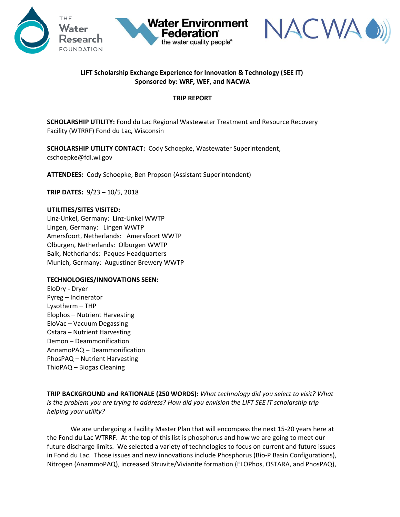



## **LIFT Scholarship Exchange Experience for Innovation & Technology (SEE IT) Sponsored by: WRF, WEF, and NACWA**

**Water Environment** 

the water quality people®

**Federation** 

## **TRIP REPORT**

**SCHOLARSHIP UTILITY:** Fond du Lac Regional Wastewater Treatment and Resource Recovery Facility (WTRRF) Fond du Lac, Wisconsin

**SCHOLARSHIP UTILITY CONTACT:** Cody Schoepke, Wastewater Superintendent, cschoepke@fdl.wi.gov

**ATTENDEES:** Cody Schoepke, Ben Propson (Assistant Superintendent)

**TRIP DATES:** 9/23 – 10/5, 2018

## **UTILITIES/SITES VISITED:**

Linz-Unkel, Germany: Linz-Unkel WWTP Lingen, Germany: Lingen WWTP Amersfoort, Netherlands: Amersfoort WWTP Olburgen, Netherlands: Olburgen WWTP Balk, Netherlands: Paques Headquarters Munich, Germany: Augustiner Brewery WWTP

## **TECHNOLOGIES/INNOVATIONS SEEN:**

EloDry - Dryer Pyreg – Incinerator Lysotherm – THP Elophos – Nutrient Harvesting EloVac – Vacuum Degassing Ostara – Nutrient Harvesting Demon – Deammonification AnnamoPAQ – Deammonification PhosPAQ – Nutrient Harvesting ThioPAQ – Biogas Cleaning

**TRIP BACKGROUND and RATIONALE (250 WORDS):** *What technology did you select to visit? What is the problem you are trying to address? How did you envision the LIFT SEE IT scholarship trip helping your utility?* 

We are undergoing a Facility Master Plan that will encompass the next 15-20 years here at the Fond du Lac WTRRF. At the top of this list is phosphorus and how we are going to meet our future discharge limits. We selected a variety of technologies to focus on current and future issues in Fond du Lac. Those issues and new innovations include Phosphorus (Bio-P Basin Configurations), Nitrogen (AnammoPAQ), increased Struvite/Vivianite formation (ELOPhos, OSTARA, and PhosPAQ),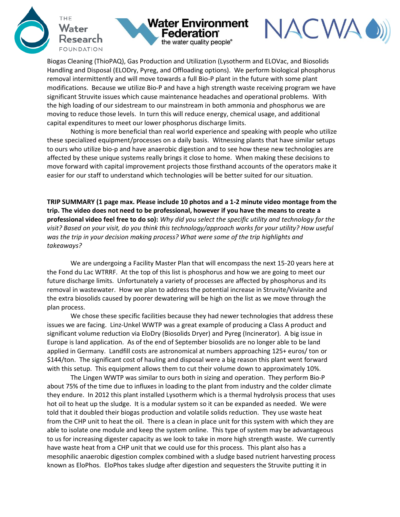





Biogas Cleaning (ThioPAQ), Gas Production and Utilization (Lysotherm and ELOVac, and Biosolids Handling and Disposal (ELODry, Pyreg, and Offloading options). We perform biological phosphorus removal intermittently and will move towards a full Bio-P plant in the future with some plant modifications. Because we utilize Bio-P and have a high strength waste receiving program we have significant Struvite issues which cause maintenance headaches and operational problems. With the high loading of our sidestream to our mainstream in both ammonia and phosphorus we are moving to reduce those levels. In turn this will reduce energy, chemical usage, and additional capital expenditures to meet our lower phosphorus discharge limits.

Nothing is more beneficial than real world experience and speaking with people who utilize these specialized equipment/processes on a daily basis. Witnessing plants that have similar setups to ours who utilize bio-p and have anaerobic digestion and to see how these new technologies are affected by these unique systems really brings it close to home. When making these decisions to move forward with capital improvement projects those firsthand accounts of the operators make it easier for our staff to understand which technologies will be better suited for our situation.

**TRIP SUMMARY (1 page max. Please include 10 photos and a 1-2 minute video montage from the trip. The video does not need to be professional, however if you have the means to create a professional video feel free to do so):** *Why did you select the specific utility and technology for the visit? Based on your visit, do you think this technology/approach works for your utility? How useful was the trip in your decision making process? What were some of the trip highlights and takeaways?*

We are undergoing a Facility Master Plan that will encompass the next 15-20 years here at the Fond du Lac WTRRF. At the top of this list is phosphorus and how we are going to meet our future discharge limits. Unfortunately a variety of processes are affected by phosphorus and its removal in wastewater. How we plan to address the potential increase in Struvite/Vivianite and the extra biosolids caused by poorer dewatering will be high on the list as we move through the plan process.

We chose these specific facilities because they had newer technologies that address these issues we are facing. Linz-Unkel WWTP was a great example of producing a Class A product and significant volume reduction via EloDry (Biosolids Dryer) and Pyreg (Incinerator). A big issue in Europe is land application. As of the end of September biosolids are no longer able to be land applied in Germany. Landfill costs are astronomical at numbers approaching 125+ euros/ ton or \$144/ton. The significant cost of hauling and disposal were a big reason this plant went forward with this setup. This equipment allows them to cut their volume down to approximately 10%.

The Lingen WWTP was similar to ours both in sizing and operation. They perform Bio-P about 75% of the time due to influxes in loading to the plant from industry and the colder climate they endure. In 2012 this plant installed Lysotherm which is a thermal hydrolysis process that uses hot oil to heat up the sludge. It is a modular system so it can be expanded as needed. We were told that it doubled their biogas production and volatile solids reduction. They use waste heat from the CHP unit to heat the oil. There is a clean in place unit for this system with which they are able to isolate one module and keep the system online. This type of system may be advantageous to us for increasing digester capacity as we look to take in more high strength waste. We currently have waste heat from a CHP unit that we could use for this process. This plant also has a mesophilic anaerobic digestion complex combined with a sludge based nutrient harvesting process known as EloPhos. EloPhos takes sludge after digestion and sequesters the Struvite putting it in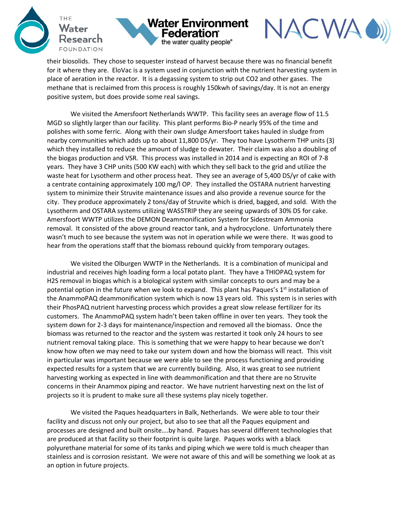





their biosolids. They chose to sequester instead of harvest because there was no financial benefit for it where they are. EloVac is a system used in conjunction with the nutrient harvesting system in place of aeration in the reactor. It is a degassing system to strip out CO2 and other gases. The methane that is reclaimed from this process is roughly 150kwh of savings/day. It is not an energy positive system, but does provide some real savings.

We visited the Amersfoort Netherlands WWTP. This facility sees an average flow of 11.5 MGD so slightly larger than our facility. This plant performs Bio-P nearly 95% of the time and polishes with some ferric. Along with their own sludge Amersfoort takes hauled in sludge from nearby communities which adds up to about 11,800 DS/yr. They too have Lysotherm THP units (3) which they installed to reduce the amount of sludge to dewater. Their claim was also a doubling of the biogas production and VSR. This process was installed in 2014 and is expecting an ROI of 7-8 years. They have 3 CHP units (500 KW each) with which they sell back to the grid and utilize the waste heat for Lysotherm and other process heat. They see an average of 5,400 DS/yr of cake with a centrate containing approximately 100 mg/l OP. They installed the OSTARA nutrient harvesting system to minimize their Struvite maintenance issues and also provide a revenue source for the city. They produce approximately 2 tons/day of Struvite which is dried, bagged, and sold. With the Lysotherm and OSTARA systems utilizing WASSTRIP they are seeing upwards of 30% DS for cake. Amersfoort WWTP utilizes the DEMON Deammonification System for Sidestream Ammonia removal. It consisted of the above ground reactor tank, and a hydrocyclone. Unfortunately there wasn't much to see because the system was not in operation while we were there. It was good to hear from the operations staff that the biomass rebound quickly from temporary outages.

We visited the Olburgen WWTP in the Netherlands. It is a combination of municipal and industrial and receives high loading form a local potato plant. They have a THIOPAQ system for H2S removal in biogas which is a biological system with similar concepts to ours and may be a potential option in the future when we look to expand. This plant has Paques's 1<sup>st</sup> installation of the AnammoPAQ deammonification system which is now 13 years old. This system is in series with their PhosPAQ nutrient harvesting process which provides a great slow release fertilizer for its customers. The AnammoPAQ system hadn't been taken offline in over ten years. They took the system down for 2-3 days for maintenance/inspection and removed all the biomass. Once the biomass was returned to the reactor and the system was restarted it took only 24 hours to see nutrient removal taking place. This is something that we were happy to hear because we don't know how often we may need to take our system down and how the biomass will react. This visit in particular was important because we were able to see the process functioning and providing expected results for a system that we are currently building. Also, it was great to see nutrient harvesting working as expected in line with deammonification and that there are no Struvite concerns in their Anammox piping and reactor. We have nutrient harvesting next on the list of projects so it is prudent to make sure all these systems play nicely together.

We visited the Paques headquarters in Balk, Netherlands. We were able to tour their facility and discuss not only our project, but also to see that all the Paques equipment and processes are designed and built onsite….by hand. Paques has several different technologies that are produced at that facility so their footprint is quite large. Paques works with a black polyurethane material for some of its tanks and piping which we were told is much cheaper than stainless and is corrosion resistant. We were not aware of this and will be something we look at as an option in future projects.